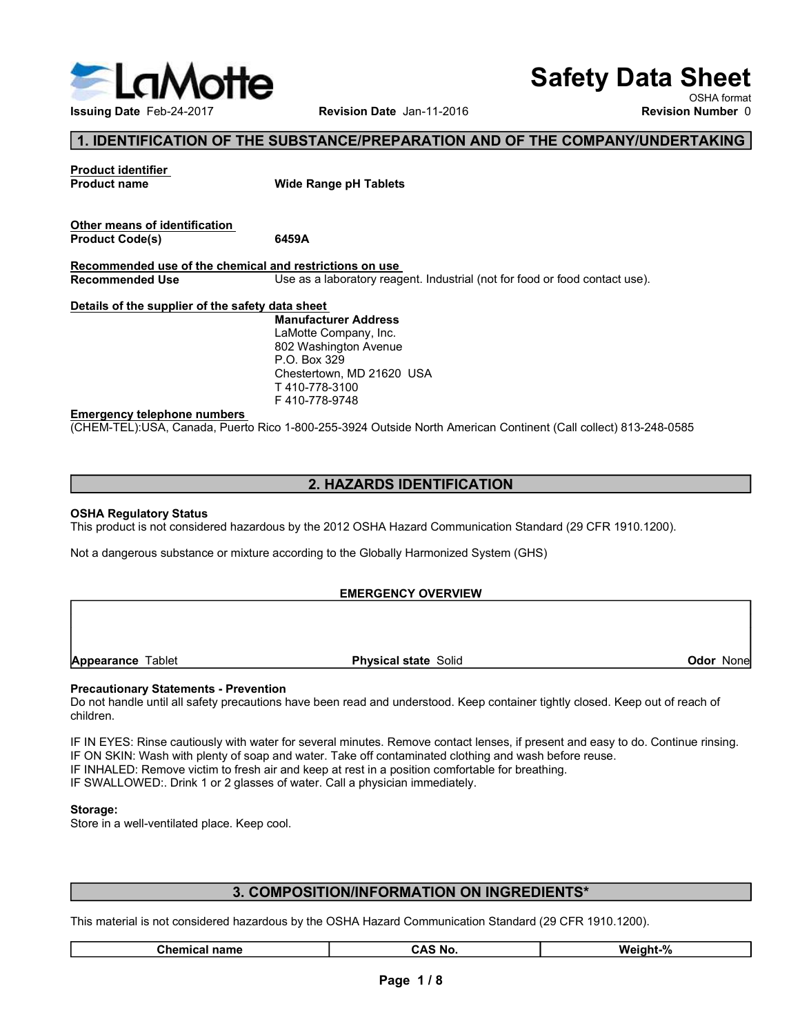

# Safety Data Sheet

## 1. IDENTIFICATION OF THE SUBSTANCE/PREPARATION AND OF THE COMPANY/UNDERTAKING

|                                                         | <b>lotte</b>                                                                                                                           | <b>Safety Data Sheet</b>                |
|---------------------------------------------------------|----------------------------------------------------------------------------------------------------------------------------------------|-----------------------------------------|
| <b>Issuing Date Feb-24-2017</b>                         | Revision Date Jan-11-2016                                                                                                              | OSHA format<br><b>Revision Number 0</b> |
|                                                         | 1. IDENTIFICATION OF THE SUBSTANCE/PREPARATION AND OF THE COMPANY/UNDERTAKING                                                          |                                         |
| <b>Product identifier</b><br><b>Product name</b>        | <b>Wide Range pH Tablets</b>                                                                                                           |                                         |
| Other means of identification<br><b>Product Code(s)</b> | 6459A                                                                                                                                  |                                         |
| Recommended Use                                         | Recommended use of the chemical and restrictions on use<br>Use as a laboratory reagent. Industrial (not for food or food contact use). |                                         |
| Details of the supplier of the safety data sheet        |                                                                                                                                        |                                         |
|                                                         | <b>Manufacturer Address</b><br>LaMotte Company, Inc.<br>802 Washington Avenue<br>P.O. Box 329<br>Chestertown, MD 21620 USA             |                                         |
| <b>Emergency telephone numbers</b>                      | T410-778-3100<br>F410-778-9748                                                                                                         |                                         |
|                                                         | (CHEM-TEL):USA, Canada, Puerto Rico 1-800-255-3924 Outside North American Continent (Call collect) 813-248-0585                        |                                         |
|                                                         | 2. HAZARDS IDENTIFICATION                                                                                                              |                                         |
| <b>OSHA Regulatory Status</b>                           | This product is not considered hazardous by the 2012 OSHA Hazard Communication Standard (29 CFR 1910.1200).                            |                                         |
|                                                         | Not a dangerous substance or mixture according to the Globally Harmonized System (GHS)                                                 |                                         |
|                                                         | <b>EMERGENCY OVERVIEW</b>                                                                                                              |                                         |

### 2. HAZARDS IDENTIFICATION

### EMERGENCY OVERVIEW

children. Manuterund Marchiner Adams<br>
AMOND Company, Inc.<br>
Chestierboom Arenic Physical State<br>
T410-778-3100<br>
T410-778-3149<br>
CHEM-TELJUSA, Canada, Puerto Rico 1-800-255-3924 Outside North American Continent (Call collect) 813-248-05

EMERGENCY OVERVIEW<br> **Procautionary Statements - Prevention**<br> **Procautionary Statements - Prevention**<br>
Don't handle until all salisity precisions have been read and understood. Keep container tightly closed. Keep out of rea **Physical state** Solid<br> **Chemical Statements - Prevention**<br>
Idiali safety precautions have been read and understood. Keep container tightly closed. Keep out of reach of<br>
the cautiously with water for several minutes. Remov Pro. Box 329<br>
Chemerateriown, MD 21620 USA<br>
T410-778-3100<br>
T410-778-3100<br>
T410-778-3100<br>
CHEM-TEL;USA, Canada, Puerto Rico 1-800-255-3924 Outside North American Continent (Call collect) 813-24<br>
2. HAZARDS IDENTIFICATION<br>
O Constant in the Constant of the Constant of the Constant of the Constant of the Constant Constant Constant Constant Constant Constant Constant Constant Constant Constant Constant Constant Constant Constant Constant Consta Emargency telephone numbers<br>
IF 410-778-9748<br>
COHENN-TEL}USA, Canada, Puerto Rico 1-800-255-3924 Outside North American Continent (Call collect) 813-248-0585<br>
2. HAZARDS IDENTIFICATION<br>
IThis product is not considered haza Emergency releases and the scheme in Standard Collect and Standard Collect and Standard (29 CFR 1910.1200).<br>
SCHA Regulatory Status<br>
This product is not considered hazardous by the 2012 OSHA Hazard Communication Standard ( CHENN: ELFUGN, Canada, Fuerto Rico 1-800-250-3924 Outside North American Continent (Call collecting is 13-248-0566)<br>
This product is not considered hazardous by the 2012 OSHA Hazard Communication Standard (29 CFR 1910.1200 **2. HAZARDS IDENTIFICATION**<br>
This product is not considered hazardous by the 2012 OSHA Hazard Communication Standard (29 CFR 1910 1200).<br>
Not a dangerous substance or mixture according to the Globally Harmonized System (GH 2. HAZARDS IDENTIFICATION<br>
STAR Regulatory Status<br>
This product is not considered hazardous by the 2012 OSHA Hazard Communication Standard (29 CFR 1910.1200).<br>
Not a dangerous substance or mixture according to the Globally **COLUTE 1988**<br> **COLUTE 1999 COLUTE:**<br>
The analysis of the property of the set of the set of the set of the set of the set of the set of the set of the set of the set of the set of the set of the set of the set of the set o

### Storage:

### 3. COMPOSITION/INFORMATION ON INGREDIENTS\*

| <b>Chemical name</b> | ີ S No.<br>CAS | $\mathbf{O}$<br>Weight-<br>7٥٠ |
|----------------------|----------------|--------------------------------|
|                      |                |                                |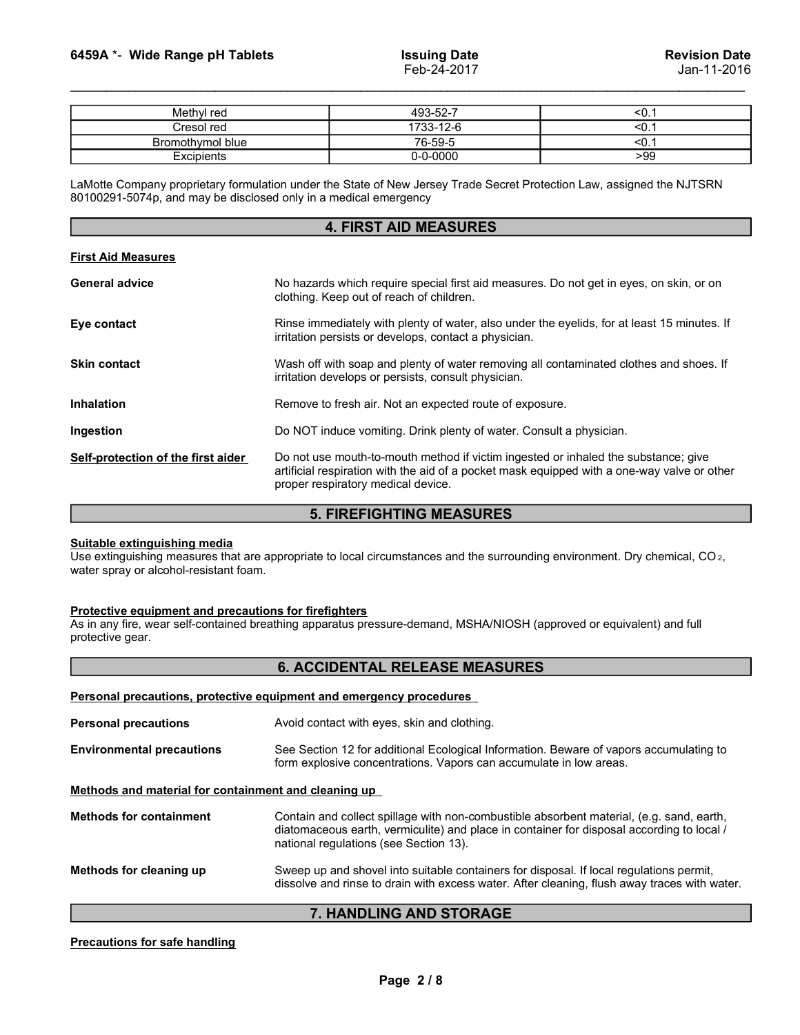| 6459A *- Wide Range pH Tablets                                                                                                                                                             | <b>Issuing Date</b><br>Feb-24-2017 | <b>Revision Date</b><br>Jan-11-2016 |
|--------------------------------------------------------------------------------------------------------------------------------------------------------------------------------------------|------------------------------------|-------------------------------------|
|                                                                                                                                                                                            |                                    |                                     |
| Methyl red                                                                                                                                                                                 | 493-52-7                           | < 0.1                               |
| Cresol red                                                                                                                                                                                 | 1733-12-6                          | < 0.1                               |
| Bromothymol blue                                                                                                                                                                           | 76-59-5                            | < 0.1                               |
| Excipients                                                                                                                                                                                 | $0 - 0 - 0000$                     | >99                                 |
| LaMotte Company proprietary formulation under the State of New Jersey Trade Secret Protection Law, assigned the NJTSRN<br>80100291-5074p, and may be disclosed only in a medical emergency |                                    |                                     |
|                                                                                                                                                                                            |                                    |                                     |
|                                                                                                                                                                                            | <b>4. FIRST AID MEASURES</b>       |                                     |
| <b>First Aid Measures</b>                                                                                                                                                                  |                                    |                                     |

### 4. FIRST AID MEASURES

| 6459A *- Wide Range pH Tablets                                            | <b>Issuing Date</b><br>Feb-24-2017                                                                                                                                                                                      | <b>Revision Date</b><br>Jan-11-2016 |  |  |
|---------------------------------------------------------------------------|-------------------------------------------------------------------------------------------------------------------------------------------------------------------------------------------------------------------------|-------------------------------------|--|--|
| Methyl red                                                                | 493-52-7                                                                                                                                                                                                                | < 0.1                               |  |  |
| Cresol red                                                                | 1733-12-6                                                                                                                                                                                                               | < 0.1                               |  |  |
| Bromothymol blue                                                          | 76-59-5                                                                                                                                                                                                                 | < 0.1                               |  |  |
| <b>Excipients</b>                                                         | $0 - 0 - 0000$                                                                                                                                                                                                          | >99                                 |  |  |
| 80100291-5074p, and may be disclosed only in a medical emergency          | <b>4. FIRST AID MEASURES</b>                                                                                                                                                                                            |                                     |  |  |
| <b>First Aid Measures</b>                                                 |                                                                                                                                                                                                                         |                                     |  |  |
| <b>General advice</b>                                                     | No hazards which require special first aid measures. Do not get in eyes, on skin, or on<br>clothing. Keep out of reach of children.                                                                                     |                                     |  |  |
| Eye contact                                                               | Rinse immediately with plenty of water, also under the eyelids, for at least 15 minutes. If<br>irritation persists or develops, contact a physician.                                                                    |                                     |  |  |
| <b>Skin contact</b>                                                       | Wash off with soap and plenty of water removing all contaminated clothes and shoes. If<br>irritation develops or persists, consult physician.                                                                           |                                     |  |  |
| <b>Inhalation</b>                                                         | Remove to fresh air. Not an expected route of exposure.                                                                                                                                                                 |                                     |  |  |
| Ingestion                                                                 | Do NOT induce vomiting. Drink plenty of water. Consult a physician.                                                                                                                                                     |                                     |  |  |
| Self-protection of the first aider                                        | Do not use mouth-to-mouth method if victim ingested or inhaled the substance; give<br>artificial respiration with the aid of a pocket mask equipped with a one-way valve or other<br>proper respiratory medical device. |                                     |  |  |
|                                                                           | <b>5. FIREFIGHTING MEASURES</b>                                                                                                                                                                                         |                                     |  |  |
| Suitable extinguishing media<br>water spray or alcohol-resistant foam.    | Use extinguishing measures that are appropriate to local circumstances and the surrounding environment. Dry chemical, CO2,                                                                                              |                                     |  |  |
| Protective equipment and precautions for firefighters<br>protective gear. | As in any fire, wear self-contained breathing apparatus pressure-demand, MSHA/NIOSH (approved or equivalent) and full                                                                                                   |                                     |  |  |
|                                                                           | <b>6. ACCIDENTAL RELEASE MEASURES</b>                                                                                                                                                                                   |                                     |  |  |
|                                                                           | Personal precautions, protective equipment and emergency procedures                                                                                                                                                     |                                     |  |  |
| <b>Personal precautions</b>                                               | Avoid contact with eyes, skin and clothing.                                                                                                                                                                             |                                     |  |  |
| <b>Environmental precautions</b>                                          | See Section 12 for additional Ecological Information. Beware of vapors accumulating to<br>form explosive concentrations. Vapors can accumulate in low areas.                                                            |                                     |  |  |

### 5. FIREFIGHTING MEASURES

### 6. ACCIDENTAL RELEASE MEASURES

|                                                                           | imation actoropo or poroioto, concant prijoioiam.                                                                                                                                                                               |
|---------------------------------------------------------------------------|---------------------------------------------------------------------------------------------------------------------------------------------------------------------------------------------------------------------------------|
| Inhalation                                                                | Remove to fresh air. Not an expected route of exposure.                                                                                                                                                                         |
| Ingestion                                                                 | Do NOT induce vomiting. Drink plenty of water. Consult a physician.                                                                                                                                                             |
| Self-protection of the first aider                                        | Do not use mouth-to-mouth method if victim ingested or inhaled the substance; give<br>artificial respiration with the aid of a pocket mask equipped with a one-way valve or other<br>proper respiratory medical device.         |
|                                                                           | <b>5. FIREFIGHTING MEASURES</b>                                                                                                                                                                                                 |
| Suitable extinguishing media<br>water spray or alcohol-resistant foam.    | Use extinguishing measures that are appropriate to local circumstances and the surrounding environment. Dry chemical, CO <sub>2</sub> ,                                                                                         |
| Protective equipment and precautions for firefighters<br>protective gear. | As in any fire, wear self-contained breathing apparatus pressure-demand, MSHA/NIOSH (approved or equivalent) and full                                                                                                           |
|                                                                           | <b>6. ACCIDENTAL RELEASE MEASURES</b>                                                                                                                                                                                           |
|                                                                           | Personal precautions, protective equipment and emergency procedures                                                                                                                                                             |
| <b>Personal precautions</b>                                               | Avoid contact with eyes, skin and clothing.                                                                                                                                                                                     |
| <b>Environmental precautions</b>                                          | See Section 12 for additional Ecological Information. Beware of vapors accumulating to<br>form explosive concentrations. Vapors can accumulate in low areas.                                                                    |
| Methods and material for containment and cleaning up                      |                                                                                                                                                                                                                                 |
| <b>Methods for containment</b>                                            | Contain and collect spillage with non-combustible absorbent material, (e.g. sand, earth,<br>diatomaceous earth, vermiculite) and place in container for disposal according to local /<br>national regulations (see Section 13). |
| Methods for cleaning up                                                   | Sweep up and shovel into suitable containers for disposal. If local regulations permit,<br>dissolve and rinse to drain with excess water. After cleaning, flush away traces with water.                                         |
|                                                                           | 7. HANDLING AND STORAGE                                                                                                                                                                                                         |
| <b>Precautions for safe handling</b>                                      |                                                                                                                                                                                                                                 |
|                                                                           | Page 2/8                                                                                                                                                                                                                        |
|                                                                           |                                                                                                                                                                                                                                 |
|                                                                           |                                                                                                                                                                                                                                 |

## 7. HANDLING AND STORAGE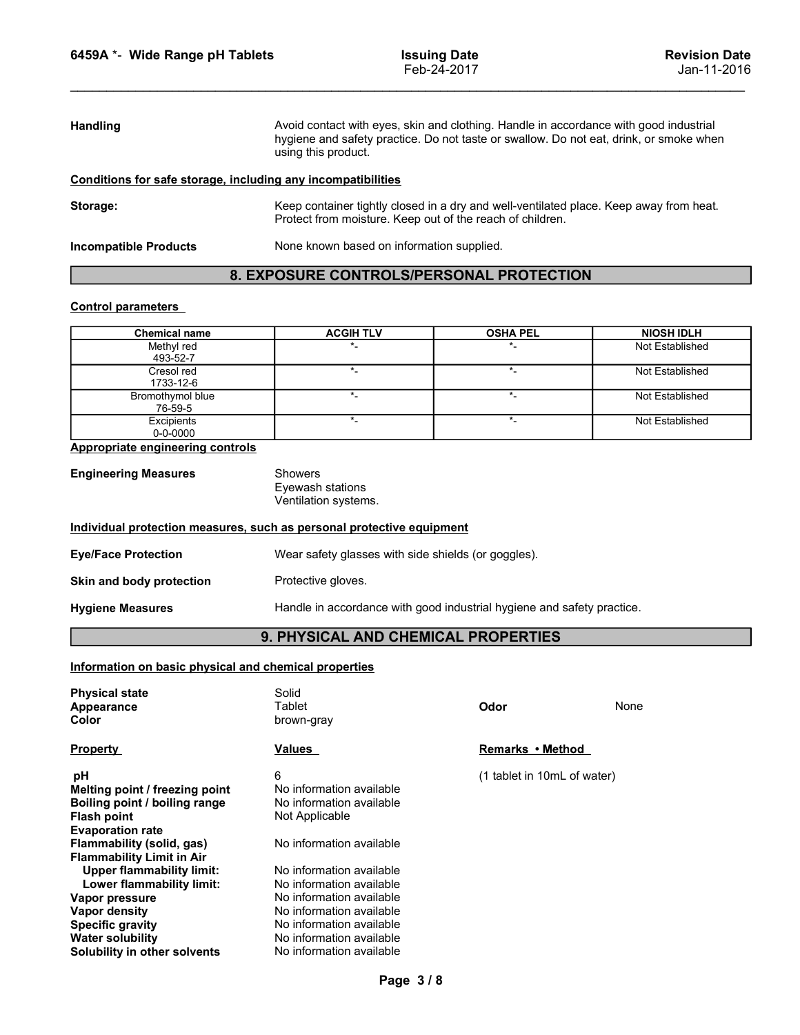|                 | 6459A *- Wide Range pH Tablets                            |                                                                                                                                                                                                        | <b>Issuing Date</b><br>Feb-24-2017        | <b>Revision Date</b><br>Jan-11-2016 |  |
|-----------------|-----------------------------------------------------------|--------------------------------------------------------------------------------------------------------------------------------------------------------------------------------------------------------|-------------------------------------------|-------------------------------------|--|
|                 |                                                           |                                                                                                                                                                                                        |                                           |                                     |  |
|                 |                                                           |                                                                                                                                                                                                        |                                           |                                     |  |
| <b>Handling</b> |                                                           | Avoid contact with eyes, skin and clothing. Handle in accordance with good industrial<br>hygiene and safety practice. Do not taste or swallow. Do not eat, drink, or smoke when<br>using this product. |                                           |                                     |  |
|                 |                                                           | Conditions for safe storage, including any incompatibilities                                                                                                                                           |                                           |                                     |  |
| Storage:        |                                                           | Keep container tightly closed in a dry and well-ventilated place. Keep away from heat.<br>Protect from moisture. Keep out of the reach of children.                                                    |                                           |                                     |  |
|                 | <b>Incompatible Products</b>                              |                                                                                                                                                                                                        | None known based on information supplied. |                                     |  |
|                 |                                                           | 8. EXPOSURE CONTROLS/PERSONAL PROTECTION                                                                                                                                                               |                                           |                                     |  |
|                 |                                                           |                                                                                                                                                                                                        |                                           |                                     |  |
|                 | <b>Control parameters</b>                                 |                                                                                                                                                                                                        |                                           | <b>NIOSH IDLH</b>                   |  |
|                 | <b>Chemical name</b>                                      | <b>ACGIH TLV</b>                                                                                                                                                                                       | <b>OSHA PEL</b>                           |                                     |  |
|                 | Methyl red<br>493-52-7                                    | $\star$                                                                                                                                                                                                | $\star$                                   | Not Established                     |  |
|                 | Cresol red                                                | $\star_{\!-}$                                                                                                                                                                                          | $\star_-$                                 | Not Established                     |  |
|                 | 1733-12-6                                                 | $\star_{\!-}$                                                                                                                                                                                          | $\star_{\!-}$                             | Not Established                     |  |
|                 | Bromothymol blue<br>76-59-5<br>Excipients                 | $^\star$                                                                                                                                                                                               | $\star_-$                                 | Not Established                     |  |
|                 | $0 - 0 - 0000$<br><b>Appropriate engineering controls</b> |                                                                                                                                                                                                        |                                           |                                     |  |
|                 | <b>Engineering Measures</b>                               | Showers                                                                                                                                                                                                |                                           |                                     |  |

### 8. EXPOSURE CONTROLS/PERSONAL PROTECTION

|                                                              | hygiene and safety practice. Do not taste or swallow. Do not eat, drink, or smoke when<br>using this product.                                       |                  |                   |  |
|--------------------------------------------------------------|-----------------------------------------------------------------------------------------------------------------------------------------------------|------------------|-------------------|--|
| Conditions for safe storage, including any incompatibilities |                                                                                                                                                     |                  |                   |  |
| Storage:                                                     | Keep container tightly closed in a dry and well-ventilated place. Keep away from heat.<br>Protect from moisture. Keep out of the reach of children. |                  |                   |  |
| <b>Incompatible Products</b>                                 | None known based on information supplied.                                                                                                           |                  |                   |  |
|                                                              | 8. EXPOSURE CONTROLS/PERSONAL PROTECTION                                                                                                            |                  |                   |  |
| <b>Control parameters</b>                                    |                                                                                                                                                     |                  |                   |  |
| <b>Chemical name</b>                                         | <b>ACGIH TLV</b>                                                                                                                                    | <b>OSHA PEL</b>  | <b>NIOSH IDLH</b> |  |
| Methyl red<br>493-52-7                                       | $^\star$ .                                                                                                                                          | $\star$          | Not Established   |  |
| Cresol red<br>1733-12-6                                      | $^\star$ .                                                                                                                                          | $^\star$ .       | Not Established   |  |
| Bromothymol blue<br>76-59-5                                  | $\star_{\_}$                                                                                                                                        | $\star$          | Not Established   |  |
| Excipients<br>$0 - 0 - 0000$                                 | $^\star$ .                                                                                                                                          | $^\star$ .       | Not Established   |  |
| <b>Appropriate engineering controls</b>                      |                                                                                                                                                     |                  |                   |  |
| <b>Engineering Measures</b>                                  | Showers<br>Eyewash stations<br>Ventilation systems.                                                                                                 |                  |                   |  |
|                                                              | Individual protection measures, such as personal protective equipment                                                                               |                  |                   |  |
| <b>Eye/Face Protection</b>                                   | Wear safety glasses with side shields (or goggles).                                                                                                 |                  |                   |  |
| Skin and body protection                                     | Protective gloves.                                                                                                                                  |                  |                   |  |
| <b>Hygiene Measures</b>                                      | Handle in accordance with good industrial hygiene and safety practice.                                                                              |                  |                   |  |
|                                                              | 9. PHYSICAL AND CHEMICAL PROPERTIES                                                                                                                 |                  |                   |  |
| Information on basic physical and chemical properties        |                                                                                                                                                     |                  |                   |  |
| <b>Physical state</b><br><b>Appearance</b><br>Color          | Solid<br>Tablet<br>brown-gray                                                                                                                       | Odor             | None              |  |
| Pronerty                                                     | Values                                                                                                                                              | Remarks • Method |                   |  |

| <b>Engineering Measures</b> | Showers                                  |
|-----------------------------|------------------------------------------|
|                             | Eyewash stations<br>Ventilation systems. |
|                             |                                          |

| <b>Eye/Face Protection</b> | Wear safety glasses with side shields (or goggles).                    |
|----------------------------|------------------------------------------------------------------------|
| Skin and body protection   | Protective gloves.                                                     |
| <b>Hygiene Measures</b>    | Handle in accordance with good industrial hygiene and safety practice. |

## 9. PHYSICAL AND CHEMICAL PROPERTIES

| 493-52-7                                                                                 |                                                                        |                             |                 |  |  |
|------------------------------------------------------------------------------------------|------------------------------------------------------------------------|-----------------------------|-----------------|--|--|
| Cresol red<br>1733-12-6                                                                  | $^\star$ .                                                             | $^\star$ .                  | Not Established |  |  |
| Bromothymol blue<br>76-59-5                                                              | $\star$                                                                | $\star$ _                   | Not Established |  |  |
| Excipients<br>$0 - 0 - 0000$                                                             | $\star$                                                                | $^\star$ .                  | Not Established |  |  |
| <b>Appropriate engineering controls</b>                                                  |                                                                        |                             |                 |  |  |
| <b>Engineering Measures</b>                                                              | <b>Showers</b><br>Eyewash stations<br>Ventilation systems.             |                             |                 |  |  |
| Individual protection measures, such as personal protective equipment                    |                                                                        |                             |                 |  |  |
| <b>Eye/Face Protection</b>                                                               | Wear safety glasses with side shields (or goggles).                    |                             |                 |  |  |
| Skin and body protection                                                                 | Protective gloves.                                                     |                             |                 |  |  |
| <b>Hygiene Measures</b>                                                                  | Handle in accordance with good industrial hygiene and safety practice. |                             |                 |  |  |
|                                                                                          | 9. PHYSICAL AND CHEMICAL PROPERTIES                                    |                             |                 |  |  |
| Information on basic physical and chemical properties                                    |                                                                        |                             |                 |  |  |
| <b>Physical state</b>                                                                    | Solid                                                                  |                             |                 |  |  |
| Appearance                                                                               | Tablet                                                                 | Odor                        | None            |  |  |
| Color                                                                                    | brown-gray                                                             |                             |                 |  |  |
| <b>Property</b>                                                                          | <b>Values</b>                                                          | Remarks • Method            |                 |  |  |
| рH                                                                                       | 6                                                                      | (1 tablet in 10mL of water) |                 |  |  |
| Melting point / freezing point<br>Boiling point / boiling range<br><b>Flash point</b>    | No information available<br>No information available<br>Not Applicable |                             |                 |  |  |
| <b>Evaporation rate</b><br>Flammability (solid, gas)<br><b>Flammability Limit in Air</b> | No information available                                               |                             |                 |  |  |
| <b>Upper flammability limit:</b>                                                         | No information available                                               |                             |                 |  |  |
| Lower flammability limit:                                                                | No information available                                               |                             |                 |  |  |
| Vapor pressure<br><b>Vapor density</b>                                                   | No information available<br>No information available                   |                             |                 |  |  |
| <b>Specific gravity</b>                                                                  | No information available                                               |                             |                 |  |  |
| <b>Water solubility</b>                                                                  | No information available                                               |                             |                 |  |  |
| Solubility in other solvents                                                             | No information available                                               |                             |                 |  |  |
|                                                                                          | Page 3/8                                                               |                             |                 |  |  |
|                                                                                          |                                                                        |                             |                 |  |  |
|                                                                                          |                                                                        |                             |                 |  |  |
|                                                                                          |                                                                        |                             |                 |  |  |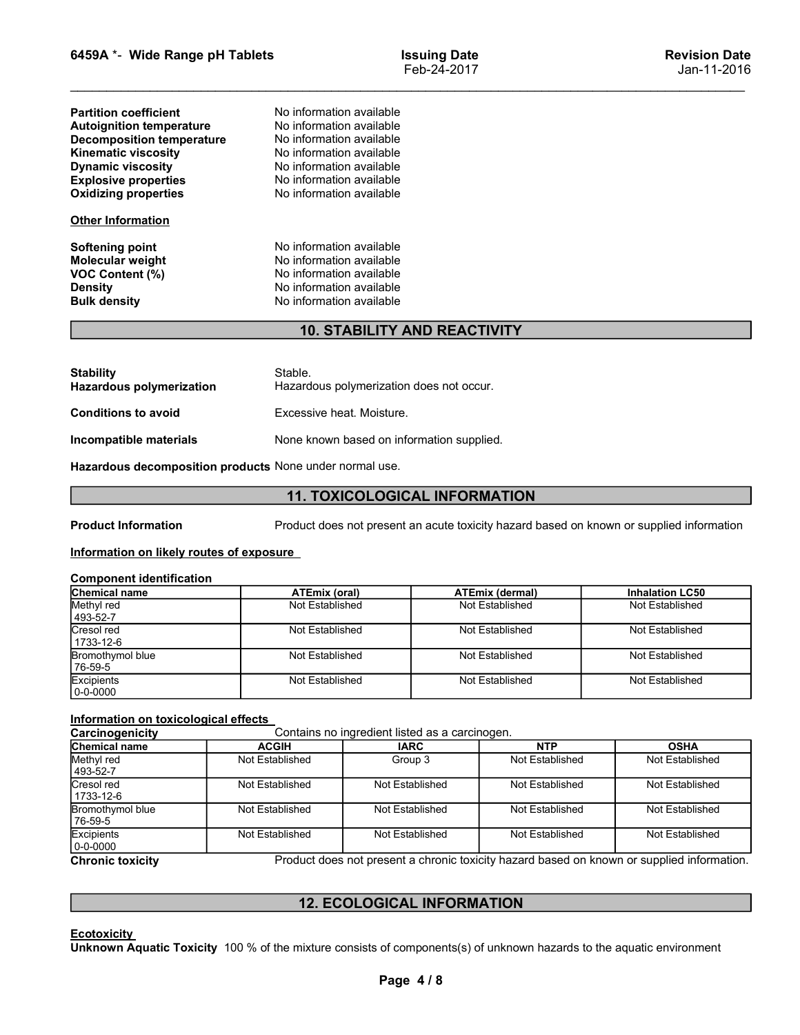| 6459A *- Wide Range pH Tablets                          |                                                      | <b>Issuing Date</b>                                                                      | <b>Revision Date</b>   |
|---------------------------------------------------------|------------------------------------------------------|------------------------------------------------------------------------------------------|------------------------|
|                                                         |                                                      | Feb-24-2017                                                                              | Jan-11-2016            |
| <b>Partition coefficient</b>                            | No information available                             |                                                                                          |                        |
| <b>Autoignition temperature</b>                         | No information available                             |                                                                                          |                        |
| <b>Decomposition temperature</b>                        | No information available<br>No information available |                                                                                          |                        |
| <b>Kinematic viscosity</b><br><b>Dynamic viscosity</b>  | No information available                             |                                                                                          |                        |
| <b>Explosive properties</b>                             | No information available                             |                                                                                          |                        |
| <b>Oxidizing properties</b>                             | No information available                             |                                                                                          |                        |
| <b>Other Information</b>                                |                                                      |                                                                                          |                        |
| <b>Softening point</b>                                  | No information available                             |                                                                                          |                        |
| Molecular weight<br><b>VOC Content (%)</b>              | No information available<br>No information available |                                                                                          |                        |
| <b>Density</b>                                          | No information available                             |                                                                                          |                        |
| <b>Bulk density</b>                                     | No information available                             |                                                                                          |                        |
|                                                         |                                                      | <b>10. STABILITY AND REACTIVITY</b>                                                      |                        |
| <b>Stability</b>                                        | Stable.                                              |                                                                                          |                        |
| Hazardous polymerization                                | Hazardous polymerization does not occur.             |                                                                                          |                        |
| <b>Conditions to avoid</b>                              | Excessive heat. Moisture.                            |                                                                                          |                        |
| Incompatible materials                                  | None known based on information supplied.            |                                                                                          |                        |
| Hazardous decomposition products None under normal use. |                                                      |                                                                                          |                        |
|                                                         |                                                      | <b>11. TOXICOLOGICAL INFORMATION</b>                                                     |                        |
| <b>Product Information</b>                              |                                                      | Product does not present an acute toxicity hazard based on known or supplied information |                        |
| Information on likely routes of exposure                |                                                      |                                                                                          |                        |
| <b>Component identification</b>                         |                                                      |                                                                                          |                        |
| Chemical name                                           | <b>ATEmix (oral)</b>                                 | <b>ATEmix (dermal)</b>                                                                   | <b>Inhalation LC50</b> |
| Methyl red                                              | Not Established                                      | Not Established                                                                          | Not Established        |

## 10. STABILITY AND REACTIVITY

| <b>Other Information</b>                                                                               |                                                                                                                                          |                                                                            |                       |  |  |
|--------------------------------------------------------------------------------------------------------|------------------------------------------------------------------------------------------------------------------------------------------|----------------------------------------------------------------------------|-----------------------|--|--|
| Softening point<br>Molecular weight<br><b>VOC Content (%)</b><br><b>Density</b><br><b>Bulk density</b> | No information available<br>No information available<br>No information available<br>No information available<br>No information available |                                                                            |                       |  |  |
|                                                                                                        |                                                                                                                                          | <b>10. STABILITY AND REACTIVITY</b>                                        |                       |  |  |
| <b>Stability</b><br><b>Hazardous polymerization</b>                                                    | Stable.<br>Hazardous polymerization does not occur.                                                                                      |                                                                            |                       |  |  |
| Excessive heat. Moisture.<br><b>Conditions to avoid</b>                                                |                                                                                                                                          |                                                                            |                       |  |  |
| Incompatible materials<br>None known based on information supplied.                                    |                                                                                                                                          |                                                                            |                       |  |  |
| Hazardous decomposition products None under normal use.                                                |                                                                                                                                          |                                                                            |                       |  |  |
|                                                                                                        |                                                                                                                                          | <b>11. TOXICOLOGICAL INFORMATION</b>                                       |                       |  |  |
| <b>Product Information</b><br>Information on likely routes of exposure                                 |                                                                                                                                          | Product does not present an acute toxicity hazard based on known or suppli |                       |  |  |
| <b>Component identification</b>                                                                        |                                                                                                                                          |                                                                            |                       |  |  |
| Chemical name<br>Methyl red<br>493-52-7                                                                | <b>ATEmix (oral)</b><br>Not Established                                                                                                  | <b>ATEmix (dermal)</b><br>Not Established                                  | Inhalatio<br>Not Esta |  |  |
| Cresol red<br>1733-12-6                                                                                | Not Established                                                                                                                          | Not Established                                                            | Not Esta              |  |  |
| Bromothymol blue                                                                                       | Not Established                                                                                                                          | Not Established                                                            | Not Esta              |  |  |

### 11. TOXICOLOGICAL INFORMATION

| oononing point<br>Molecular weight                      |                                                         | No information available                       |                        |                                                                                          |  |  |
|---------------------------------------------------------|---------------------------------------------------------|------------------------------------------------|------------------------|------------------------------------------------------------------------------------------|--|--|
| VOC Content (%)                                         | No information available                                |                                                |                        |                                                                                          |  |  |
| <b>Density</b>                                          | No information available                                |                                                |                        |                                                                                          |  |  |
| <b>Bulk density</b>                                     | No information available                                |                                                |                        |                                                                                          |  |  |
|                                                         |                                                         | <b>10. STABILITY AND REACTIVITY</b>            |                        |                                                                                          |  |  |
|                                                         |                                                         |                                                |                        |                                                                                          |  |  |
| <b>Stability</b>                                        | Stable.                                                 |                                                |                        |                                                                                          |  |  |
| <b>Hazardous polymerization</b>                         |                                                         | Hazardous polymerization does not occur.       |                        |                                                                                          |  |  |
| <b>Conditions to avoid</b>                              | Excessive heat. Moisture.                               |                                                |                        |                                                                                          |  |  |
| Incompatible materials                                  |                                                         | None known based on information supplied.      |                        |                                                                                          |  |  |
|                                                         | Hazardous decomposition products None under normal use. |                                                |                        |                                                                                          |  |  |
|                                                         |                                                         | <b>11. TOXICOLOGICAL INFORMATION</b>           |                        |                                                                                          |  |  |
| <b>Product Information</b>                              |                                                         |                                                |                        | Product does not present an acute toxicity hazard based on known or supplied information |  |  |
| Information on likely routes of exposure                |                                                         |                                                |                        |                                                                                          |  |  |
|                                                         |                                                         |                                                |                        |                                                                                          |  |  |
| <b>Component identification</b>                         |                                                         |                                                |                        |                                                                                          |  |  |
| <b>Chemical name</b><br>Methyl red                      | <b>ATEmix (oral)</b>                                    |                                                | <b>ATEmix (dermal)</b> | <b>Inhalation LC50</b>                                                                   |  |  |
| 493-52-7                                                | Not Established                                         |                                                | Not Established        | Not Established                                                                          |  |  |
| Cresol red<br>1733-12-6                                 | Not Established                                         |                                                | Not Established        | Not Established                                                                          |  |  |
| <b>Bromothymol blue</b><br>76-59-5                      | Not Established                                         |                                                | Not Established        | Not Established                                                                          |  |  |
| Excipients<br>$ 0 - 0 - 0000$                           | Not Established                                         |                                                | Not Established        | Not Established                                                                          |  |  |
|                                                         |                                                         |                                                |                        |                                                                                          |  |  |
| Information on toxicological effects<br>Carcinogenicity |                                                         | Contains no ingredient listed as a carcinogen. |                        |                                                                                          |  |  |
| <b>Chemical name</b>                                    | <b>ACGIH</b>                                            | <b>IARC</b>                                    | <b>NTP</b>             | <b>OSHA</b>                                                                              |  |  |
| Methyl red                                              | Not Established                                         | Group 3                                        | Not Established        | Not Established                                                                          |  |  |
| 493-52-7                                                |                                                         |                                                |                        |                                                                                          |  |  |
| Cresol red<br>1733-12-6                                 | Not Established                                         | <b>Not Established</b>                         | Not Established        | Not Established                                                                          |  |  |
| <b>Bromothymol blue</b><br>76-59-5                      | Not Established                                         | Not Established                                | Not Established        | Not Established                                                                          |  |  |
| Excipients                                              | Not Established                                         | Not Established                                | Not Established        | Not Established                                                                          |  |  |

| <b>11. TOXICOLOGICAL INFORMATION</b><br><b>ATEmix (oral)</b><br><b>ATEmix (dermal)</b><br><b>Inhalation LC50</b><br>Not Established<br>Not Established<br>Not Established<br>Not Established<br>Not Established<br>Not Established<br>Not Established<br>Not Established<br>Not Established<br>Not Established<br>Not Established<br>Not Established<br>Contains no ingredient listed as a carcinogen.<br><b>NTP</b><br><b>OSHA</b><br><b>ACGIH</b><br><b>IARC</b><br>Not Established<br>Not Established<br>Group 3<br>Not Established<br>Not Established<br>Not Established<br>Not Established<br>Not Established<br>Not Established<br>Not Established<br>Not Established<br>Not Established<br><b>12. ECOLOGICAL INFORMATION</b><br>Page 4/8 | πιννιπρατισισ πιατσπαισ<br><b>TVOTIC MIDWIT DASCA OIT INTOITIREDIT SUPPIICU.</b>                                       |
|-------------------------------------------------------------------------------------------------------------------------------------------------------------------------------------------------------------------------------------------------------------------------------------------------------------------------------------------------------------------------------------------------------------------------------------------------------------------------------------------------------------------------------------------------------------------------------------------------------------------------------------------------------------------------------------------------------------------------------------------------|------------------------------------------------------------------------------------------------------------------------|
|                                                                                                                                                                                                                                                                                                                                                                                                                                                                                                                                                                                                                                                                                                                                                 | Hazardous decomposition products None under normal use.                                                                |
| <b>Chemical name</b><br>493-52-7<br>Cresol red<br>1733-12-6<br>$76 - 59 - 5$<br>$0 - 0 - 0000$<br>Carcinogenicity<br><b>Chemical name</b><br>493-52-7<br>Cresol red<br>1733-12-6<br>76-59-5<br>Excipients<br>Unknown Aquatic Toxicity 100 % of the mixture consists of components(s) of unknown hazards to the aquatic environment                                                                                                                                                                                                                                                                                                                                                                                                              |                                                                                                                        |
|                                                                                                                                                                                                                                                                                                                                                                                                                                                                                                                                                                                                                                                                                                                                                 | Product does not present an acute toxicity hazard based on known or supplied information<br><b>Product Information</b> |
|                                                                                                                                                                                                                                                                                                                                                                                                                                                                                                                                                                                                                                                                                                                                                 | Information on likely routes of exposure                                                                               |
|                                                                                                                                                                                                                                                                                                                                                                                                                                                                                                                                                                                                                                                                                                                                                 | <b>Component identification</b>                                                                                        |
|                                                                                                                                                                                                                                                                                                                                                                                                                                                                                                                                                                                                                                                                                                                                                 |                                                                                                                        |
|                                                                                                                                                                                                                                                                                                                                                                                                                                                                                                                                                                                                                                                                                                                                                 | Methyl red                                                                                                             |
|                                                                                                                                                                                                                                                                                                                                                                                                                                                                                                                                                                                                                                                                                                                                                 |                                                                                                                        |
|                                                                                                                                                                                                                                                                                                                                                                                                                                                                                                                                                                                                                                                                                                                                                 | <b>Bromothymol blue</b>                                                                                                |
|                                                                                                                                                                                                                                                                                                                                                                                                                                                                                                                                                                                                                                                                                                                                                 | Excipients                                                                                                             |
|                                                                                                                                                                                                                                                                                                                                                                                                                                                                                                                                                                                                                                                                                                                                                 | Information on toxicological effects                                                                                   |
|                                                                                                                                                                                                                                                                                                                                                                                                                                                                                                                                                                                                                                                                                                                                                 |                                                                                                                        |
|                                                                                                                                                                                                                                                                                                                                                                                                                                                                                                                                                                                                                                                                                                                                                 | Methyl red<br>Not Established                                                                                          |
|                                                                                                                                                                                                                                                                                                                                                                                                                                                                                                                                                                                                                                                                                                                                                 | Not Established                                                                                                        |
|                                                                                                                                                                                                                                                                                                                                                                                                                                                                                                                                                                                                                                                                                                                                                 | Bromothymol blue<br>Not Established                                                                                    |
|                                                                                                                                                                                                                                                                                                                                                                                                                                                                                                                                                                                                                                                                                                                                                 | Not Established<br>0-0-0000                                                                                            |
|                                                                                                                                                                                                                                                                                                                                                                                                                                                                                                                                                                                                                                                                                                                                                 | Product does not present a chronic toxicity hazard based on known or supplied information.<br><b>Chronic toxicity</b>  |
|                                                                                                                                                                                                                                                                                                                                                                                                                                                                                                                                                                                                                                                                                                                                                 |                                                                                                                        |
|                                                                                                                                                                                                                                                                                                                                                                                                                                                                                                                                                                                                                                                                                                                                                 |                                                                                                                        |
|                                                                                                                                                                                                                                                                                                                                                                                                                                                                                                                                                                                                                                                                                                                                                 | <b>Ecotoxicity</b>                                                                                                     |
|                                                                                                                                                                                                                                                                                                                                                                                                                                                                                                                                                                                                                                                                                                                                                 |                                                                                                                        |
|                                                                                                                                                                                                                                                                                                                                                                                                                                                                                                                                                                                                                                                                                                                                                 |                                                                                                                        |
|                                                                                                                                                                                                                                                                                                                                                                                                                                                                                                                                                                                                                                                                                                                                                 |                                                                                                                        |
|                                                                                                                                                                                                                                                                                                                                                                                                                                                                                                                                                                                                                                                                                                                                                 |                                                                                                                        |
|                                                                                                                                                                                                                                                                                                                                                                                                                                                                                                                                                                                                                                                                                                                                                 |                                                                                                                        |

### 12. ECOLOGICAL INFORMATION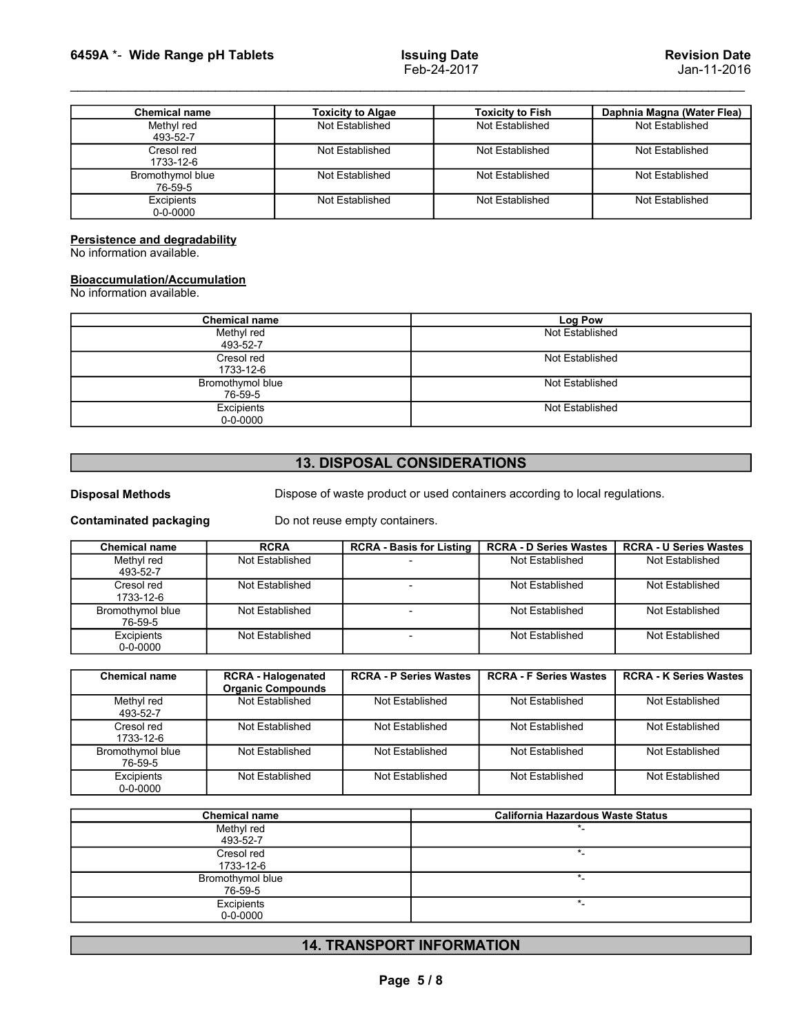|                                                                                                                                                                  |                                             | <b>Issuing Date</b>                        | <b>Revision Date</b>                          |
|------------------------------------------------------------------------------------------------------------------------------------------------------------------|---------------------------------------------|--------------------------------------------|-----------------------------------------------|
|                                                                                                                                                                  |                                             | Feb-24-2017                                | Jan-11-2016                                   |
|                                                                                                                                                                  |                                             |                                            |                                               |
| <b>Chemical name</b><br>Methyl red                                                                                                                               | <b>Toxicity to Algae</b><br>Not Established | <b>Toxicity to Fish</b><br>Not Established | Daphnia Magna (Water Flea)<br>Not Established |
| 493-52-7<br>Cresol red                                                                                                                                           | Not Established                             | Not Established                            | Not Established                               |
| 1733-12-6<br>Bromothymol blue<br>76-59-5                                                                                                                         | Not Established                             | Not Established                            | Not Established                               |
| Excipients<br>$0 - 0 - 0000$                                                                                                                                     | Not Established                             | Not Established                            | Not Established                               |
|                                                                                                                                                                  |                                             |                                            |                                               |
| 6459A *- Wide Range pH Tablets<br>Persistence and degradability<br>No information available.<br><b>Bioaccumulation/Accumulation</b><br>No information available. |                                             |                                            |                                               |
| <b>Chemical name</b>                                                                                                                                             |                                             |                                            | <b>Log Pow</b>                                |
| Methyl red<br>493-52-7                                                                                                                                           |                                             |                                            | Not Established                               |
| Cresol red                                                                                                                                                       |                                             |                                            | Not Established                               |
| 1733-12-6<br>Bromothymol blue<br>76-59-5                                                                                                                         |                                             |                                            | Not Established                               |

# **Bioaccumulation/Accumulation**<br>No information available.

| <b>UICSUITEU</b><br>1733-12-6                                    |                              | <b>NUL LSIADIISHEU</b>                                                      | IVUL LSLADIISI ICU            | <b>IVOL LOLADIIOIICU</b>      |  |
|------------------------------------------------------------------|------------------------------|-----------------------------------------------------------------------------|-------------------------------|-------------------------------|--|
| Bromothymol blue<br>76-59-5                                      |                              | Not Established                                                             | Not Established               | Not Established               |  |
| Excipients<br>0-0-0000                                           |                              | Not Established                                                             | Not Established               | Not Established               |  |
| Persistence and degradability                                    |                              |                                                                             |                               |                               |  |
| No information available.                                        |                              |                                                                             |                               |                               |  |
| <b>Bioaccumulation/Accumulation</b><br>No information available. |                              |                                                                             |                               |                               |  |
|                                                                  | <b>Chemical name</b>         |                                                                             | Log Pow                       |                               |  |
|                                                                  | Methyl red<br>493-52-7       |                                                                             | Not Established               |                               |  |
|                                                                  | Cresol red<br>1733-12-6      |                                                                             | Not Established               |                               |  |
|                                                                  | Bromothymol blue<br>76-59-5  |                                                                             | Not Established               |                               |  |
|                                                                  | Excipients<br>$0 - 0 - 0000$ |                                                                             | Not Established               |                               |  |
|                                                                  |                              |                                                                             |                               |                               |  |
|                                                                  |                              | <b>13. DISPOSAL CONSIDERATIONS</b>                                          |                               |                               |  |
| <b>Disposal Methods</b>                                          |                              | Dispose of waste product or used containers according to local regulations. |                               |                               |  |
| <b>Contaminated packaging</b>                                    |                              | Do not reuse empty containers.                                              |                               |                               |  |
| <b>Chemical name</b>                                             | <b>RCRA</b>                  | <b>RCRA - Basis for Listing</b>                                             | <b>RCRA - D Series Wastes</b> | <b>RCRA - U Series Wastes</b> |  |
| Methyl red<br>493-52-7                                           | Not Established              |                                                                             | Not Established               | Not Established               |  |
| Cresol red<br>1733-12-6                                          | Not Established              | $\overline{\phantom{a}}$                                                    | Not Established               | Not Established               |  |
| Bromothymol blue<br>76-59-5                                      | Not Established              | $\sim$                                                                      | Not Established               | Not Established               |  |
| Excipients                                                       | Not Established              | $\sim$                                                                      | Not Established               | Not Established               |  |

# 13. DISPOSAL CONSIDERATIONS

| r croiotonoc and acgrauabinty<br>No information available.       |                                                       |                                                                             |                               |                               |  |  |
|------------------------------------------------------------------|-------------------------------------------------------|-----------------------------------------------------------------------------|-------------------------------|-------------------------------|--|--|
| <b>Bioaccumulation/Accumulation</b><br>No information available. |                                                       |                                                                             |                               |                               |  |  |
|                                                                  | <b>Chemical name</b>                                  |                                                                             | <b>Log Pow</b>                |                               |  |  |
|                                                                  | Methyl red<br>493-52-7                                |                                                                             | Not Established               |                               |  |  |
|                                                                  | Cresol red                                            |                                                                             | Not Established               |                               |  |  |
|                                                                  | 1733-12-6                                             |                                                                             | Not Established               |                               |  |  |
|                                                                  | Bromothymol blue<br>76-59-5                           |                                                                             |                               |                               |  |  |
|                                                                  | Excipients<br>$0 - 0 - 0000$                          |                                                                             | Not Established               |                               |  |  |
|                                                                  |                                                       |                                                                             |                               |                               |  |  |
|                                                                  |                                                       | <b>13. DISPOSAL CONSIDERATIONS</b>                                          |                               |                               |  |  |
| <b>Disposal Methods</b>                                          |                                                       | Dispose of waste product or used containers according to local regulations. |                               |                               |  |  |
| <b>Contaminated packaging</b>                                    |                                                       | Do not reuse empty containers.                                              |                               |                               |  |  |
| <b>Chemical name</b>                                             | <b>RCRA</b>                                           | <b>RCRA - Basis for Listing</b>                                             | <b>RCRA - D Series Wastes</b> | <b>RCRA - U Series Wastes</b> |  |  |
| Methyl red<br>493-52-7                                           | Not Established                                       |                                                                             | <b>Not Established</b>        | Not Established               |  |  |
| Cresol red<br>1733-12-6                                          | Not Established                                       | $\overline{a}$                                                              | Not Established               | Not Established               |  |  |
| Bromothymol blue<br>76-59-5                                      | Not Established                                       | $\overline{\phantom{a}}$                                                    | Not Established               | Not Established               |  |  |
| Excipients<br>$0 - 0 - 0000$                                     | Not Established                                       | $\overline{\phantom{a}}$                                                    | Not Established               | <b>Not Established</b>        |  |  |
|                                                                  |                                                       |                                                                             |                               |                               |  |  |
| <b>Chemical name</b>                                             | <b>RCRA - Halogenated</b><br><b>Organic Compounds</b> | <b>RCRA - P Series Wastes</b>                                               | <b>RCRA - F Series Wastes</b> | <b>RCRA - K Series Wastes</b> |  |  |
| Methyl red<br>493-52-7                                           | Not Established                                       | Not Established                                                             | Not Established               | Not Established               |  |  |
| Cresol red<br>1733-12-6                                          | Not Established                                       | Not Established                                                             | Not Established               | Not Established               |  |  |
| Bromothymol blue                                                 | Not Established                                       | <b>Not Established</b>                                                      | <b>Not Established</b>        | <b>Not Established</b>        |  |  |

|                               | 1733-12-6                                             |                                    | <b>NOT ESIGNISHED</b>    |                                                                             |                               |  |  |
|-------------------------------|-------------------------------------------------------|------------------------------------|--------------------------|-----------------------------------------------------------------------------|-------------------------------|--|--|
|                               | Bromothymol blue                                      |                                    |                          | Not Established                                                             |                               |  |  |
|                               | 76-59-5<br>Excipients                                 |                                    |                          | Not Established                                                             |                               |  |  |
|                               | 0-0-0000                                              |                                    |                          |                                                                             |                               |  |  |
|                               |                                                       | <b>13. DISPOSAL CONSIDERATIONS</b> |                          |                                                                             |                               |  |  |
|                               |                                                       |                                    |                          |                                                                             |                               |  |  |
| <b>Disposal Methods</b>       |                                                       |                                    |                          | Dispose of waste product or used containers according to local regulations. |                               |  |  |
| <b>Contaminated packaging</b> |                                                       | Do not reuse empty containers.     |                          |                                                                             |                               |  |  |
| <b>Chemical name</b>          | <b>RCRA</b>                                           | <b>RCRA - Basis for Listing</b>    |                          | <b>RCRA - D Series Wastes</b>                                               | <b>RCRA - U Series Wastes</b> |  |  |
| Methyl red<br>493-52-7        | Not Established                                       |                                    |                          | Not Established                                                             | Not Established               |  |  |
| Cresol red<br>1733-12-6       | Not Established                                       |                                    |                          | Not Established                                                             | Not Established               |  |  |
| Bromothymol blue<br>76-59-5   | Not Established                                       |                                    | $\overline{\phantom{a}}$ | Not Established                                                             | Not Established               |  |  |
| Excipients<br>0-0-0000        | Not Established                                       | $\blacksquare$                     |                          | Not Established                                                             | Not Established               |  |  |
|                               |                                                       |                                    |                          |                                                                             |                               |  |  |
| <b>Chemical name</b>          | <b>RCRA - Halogenated</b><br><b>Organic Compounds</b> | <b>RCRA - P Series Wastes</b>      |                          | <b>RCRA - F Series Wastes</b>                                               | <b>RCRA - K Series Wastes</b> |  |  |
| Methyl red<br>493-52-7        | Not Established                                       | Not Established                    |                          | Not Established                                                             | Not Established               |  |  |
| Cresol red<br>1733-12-6       | Not Established                                       | Not Established                    |                          | Not Established                                                             | Not Established               |  |  |
| Bromothymol blue<br>76-59-5   | Not Established                                       | Not Established                    |                          | Not Established                                                             | Not Established               |  |  |
| Excipients<br>0-0-0000        | Not Established                                       | Not Established                    |                          | Not Established                                                             | Not Established               |  |  |
|                               |                                                       |                                    |                          |                                                                             |                               |  |  |
|                               | <b>Chemical name</b>                                  |                                    |                          | California Hazardous Waste Status                                           |                               |  |  |
|                               | Methyl red<br>493-52-7                                |                                    |                          | *_                                                                          |                               |  |  |
|                               | Cresol red                                            |                                    |                          | $\star$ .                                                                   |                               |  |  |
|                               | 1733-12-6<br>Bromothymol blue                         |                                    |                          | $^\star$ .                                                                  |                               |  |  |
|                               | 76-59-5<br>Excipients                                 |                                    |                          | $*$                                                                         |                               |  |  |
|                               | $0 - 0 - 0000$                                        |                                    |                          |                                                                             |                               |  |  |
|                               |                                                       | <b>14. TRANSPORT INFORMATION</b>   |                          |                                                                             |                               |  |  |

| <b>Chemical name</b> | <b>California Hazardous Waste Status</b> |
|----------------------|------------------------------------------|
| Methyl red           |                                          |
| 493-52-7             |                                          |
| Cresol red           |                                          |
| 1733-12-6            |                                          |
| Bromothymol blue     |                                          |
| 76-59-5              |                                          |
| Excipients           |                                          |
| $0 - 0 - 0000$       |                                          |

# 14. TRANSPORT INFORMATION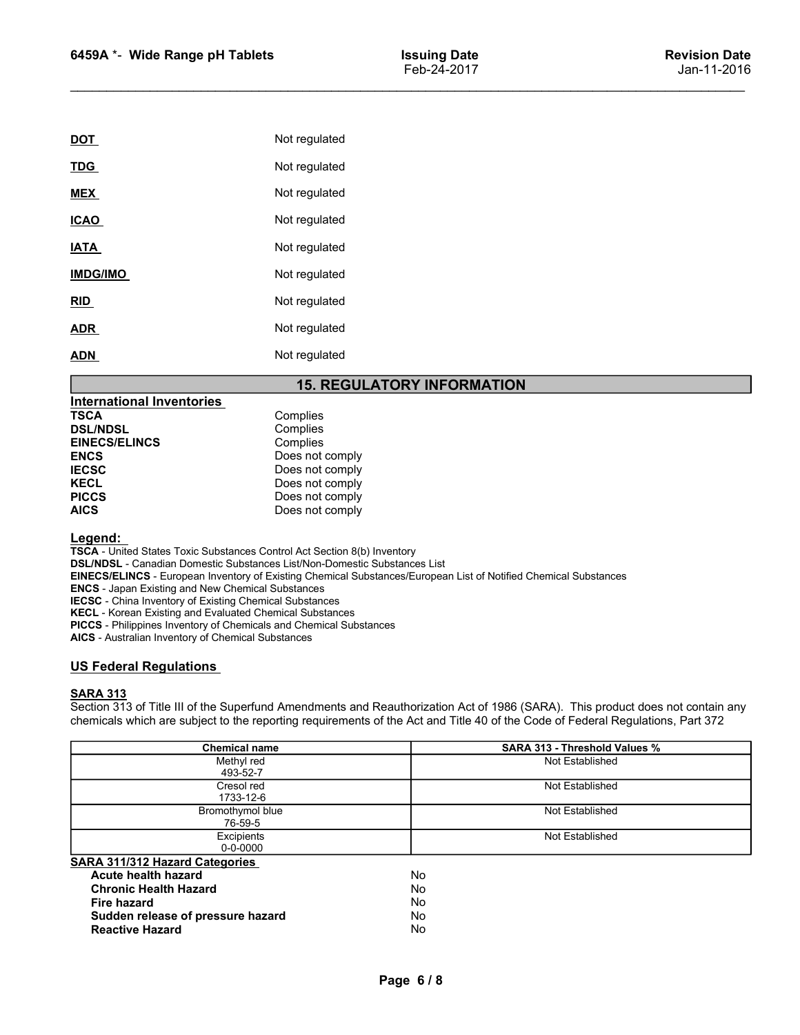| 6459A *- Wide Range pH Tablets                                                                                                                                         |                                    | <b>Issuing Date</b><br>Feb-24-2017 | <b>Revision Date</b><br>Jan-11-2016 |
|------------------------------------------------------------------------------------------------------------------------------------------------------------------------|------------------------------------|------------------------------------|-------------------------------------|
|                                                                                                                                                                        |                                    |                                    |                                     |
|                                                                                                                                                                        |                                    |                                    |                                     |
| <b>DOT</b>                                                                                                                                                             | Not regulated                      |                                    |                                     |
| <b>TDG</b>                                                                                                                                                             | Not regulated                      |                                    |                                     |
| <b>MEX</b>                                                                                                                                                             | Not regulated                      |                                    |                                     |
| <b>ICAO</b>                                                                                                                                                            | Not regulated                      |                                    |                                     |
| <b>IATA</b>                                                                                                                                                            | Not regulated                      |                                    |                                     |
| <b>IMDG/IMO</b>                                                                                                                                                        | Not regulated                      |                                    |                                     |
| RID                                                                                                                                                                    | Not regulated                      |                                    |                                     |
| <b>ADR</b>                                                                                                                                                             | Not regulated                      |                                    |                                     |
|                                                                                                                                                                        |                                    |                                    |                                     |
|                                                                                                                                                                        | Not regulated                      |                                    |                                     |
|                                                                                                                                                                        | <b>15. REGULATORY INFORMATION</b>  |                                    |                                     |
|                                                                                                                                                                        | Complies                           |                                    |                                     |
|                                                                                                                                                                        | Complies                           |                                    |                                     |
|                                                                                                                                                                        | Complies                           |                                    |                                     |
|                                                                                                                                                                        | Does not comply                    |                                    |                                     |
|                                                                                                                                                                        | Does not comply                    |                                    |                                     |
| <b>ADN</b><br><b>International Inventories</b><br><b>TSCA</b><br><b>DSL/NDSL</b><br><b>EINECS/ELINCS</b><br><b>ENCS</b><br><b>IECSC</b><br><b>KECL</b><br><b>PICCS</b> | Does not comply<br>Does not comply |                                    |                                     |
| <b>AICS</b>                                                                                                                                                            | Does not comply                    |                                    |                                     |
| Legend:                                                                                                                                                                |                                    |                                    |                                     |

# 15. REGULATORY INFORMATION

| <b>International Inventories</b> |                 |
|----------------------------------|-----------------|
| <b>TSCA</b>                      | Complies        |
| <b>DSL/NDSL</b>                  | Complies        |
| <b>EINECS/ELINCS</b>             | Complies        |
| <b>ENCS</b>                      | Does not comply |
| <b>IECSC</b>                     | Does not comply |
| <b>KECL</b>                      | Does not comply |
| <b>PICCS</b>                     | Does not comply |
| <b>AICS</b>                      | Does not comply |

### Legend:

TSCA - United States Toxic Substances Control Act Section 8(b) Inventory DSL/NDSL - Canadian Domestic Substances List/Non-Domestic Substances List EINECS/ELINCS - European Inventory of Existing Chemical Substances/European List of Notified Chemical Substances ENCS - Japan Existing and New Chemical Substances IECSC - China Inventory of Existing Chemical Substances KECL - Korean Existing and Evaluated Chemical Substances PICCS - Philippines Inventory of Chemicals and Chemical Substances AICS - Australian Inventory of Chemical Substances Not regulated<br>
Not regulated<br>
INSERIENT MORE INTO NOTE TO THE SERVE THE SERVE THE STARD SERVED INTO THE<br>
INSERIENCE SCRIPT COMPUTE:<br>
ENECS FELINGS<br>
ENECS FELINGS<br>
ENECS CORRENT CONDITIES<br>
ENECS CORRENT DUSTRIES<br>
FIECS<br>
PIC Section 313 of Title III of the Superfund Amendments and Reauthorization Act of 1986 (SARA). This product does not complete INCCS<br>
Section 313 of Title III of the Superfund Amendments and Reauthorization Act of the Superfu chemicals international inventories.<br>
TSCA<br>
Chemples<br>
ENCS<br>
ENCS<br>
ENCS<br>
ENCS<br>
ENCS<br>
ENCS<br>
CONS<br>
CONS<br>
CONS<br>
CONS<br>
CONS<br>
CONS<br>
CONS<br>
CONS<br>
CONS<br>
CONS<br>
CONS<br>
CONS<br>
CONS<br>
CONS<br>
CONS<br>
CONS<br>
CONS<br>
CONS CONSISTING TO THE CONS<br>
C

### SARA 313

| <b>DSL/NDSL</b><br>Complies<br><b>EINECS/ELINCS</b><br>Complies<br>Does not comply<br><b>ENCS</b><br>Does not comply<br><b>IECSC</b><br><b>KECL</b><br>Does not comply<br><b>PICCS</b><br>Does not comply<br><b>AICS</b><br>Does not comply<br>Legend:<br><b>TSCA</b> - United States Toxic Substances Control Act Section 8(b) Inventory<br><b>DSL/NDSL</b> - Canadian Domestic Substances List/Non-Domestic Substances List<br>EINECS/ELINCS - European Inventory of Existing Chemical Substances/European List of Notified Chemical Substances<br><b>ENCS</b> - Japan Existing and New Chemical Substances<br><b>IECSC</b> - China Inventory of Existing Chemical Substances<br>KECL - Korean Existing and Evaluated Chemical Substances<br>PICCS - Philippines Inventory of Chemicals and Chemical Substances<br>AICS - Australian Inventory of Chemical Substances |  |
|-------------------------------------------------------------------------------------------------------------------------------------------------------------------------------------------------------------------------------------------------------------------------------------------------------------------------------------------------------------------------------------------------------------------------------------------------------------------------------------------------------------------------------------------------------------------------------------------------------------------------------------------------------------------------------------------------------------------------------------------------------------------------------------------------------------------------------------------------------------------------|--|
|                                                                                                                                                                                                                                                                                                                                                                                                                                                                                                                                                                                                                                                                                                                                                                                                                                                                         |  |
|                                                                                                                                                                                                                                                                                                                                                                                                                                                                                                                                                                                                                                                                                                                                                                                                                                                                         |  |
|                                                                                                                                                                                                                                                                                                                                                                                                                                                                                                                                                                                                                                                                                                                                                                                                                                                                         |  |
|                                                                                                                                                                                                                                                                                                                                                                                                                                                                                                                                                                                                                                                                                                                                                                                                                                                                         |  |
|                                                                                                                                                                                                                                                                                                                                                                                                                                                                                                                                                                                                                                                                                                                                                                                                                                                                         |  |
|                                                                                                                                                                                                                                                                                                                                                                                                                                                                                                                                                                                                                                                                                                                                                                                                                                                                         |  |
|                                                                                                                                                                                                                                                                                                                                                                                                                                                                                                                                                                                                                                                                                                                                                                                                                                                                         |  |
|                                                                                                                                                                                                                                                                                                                                                                                                                                                                                                                                                                                                                                                                                                                                                                                                                                                                         |  |
|                                                                                                                                                                                                                                                                                                                                                                                                                                                                                                                                                                                                                                                                                                                                                                                                                                                                         |  |
| <b>US Federal Regulations</b>                                                                                                                                                                                                                                                                                                                                                                                                                                                                                                                                                                                                                                                                                                                                                                                                                                           |  |
| <b>SARA 313</b><br>Section 313 of Title III of the Superfund Amendments and Reauthorization Act of 1986 (SARA). This product does not contain any<br>chemicals which are subject to the reporting requirements of the Act and Title 40 of the Code of Federal Regulations, Part 372                                                                                                                                                                                                                                                                                                                                                                                                                                                                                                                                                                                     |  |
| SARA 313 - Threshold Values %<br><b>Chemical name</b>                                                                                                                                                                                                                                                                                                                                                                                                                                                                                                                                                                                                                                                                                                                                                                                                                   |  |
| Not Established<br>Methyl red<br>493-52-7                                                                                                                                                                                                                                                                                                                                                                                                                                                                                                                                                                                                                                                                                                                                                                                                                               |  |
| Not Established<br>Cresol red<br>1733-12-6                                                                                                                                                                                                                                                                                                                                                                                                                                                                                                                                                                                                                                                                                                                                                                                                                              |  |
| Bromothymol blue<br>Not Established                                                                                                                                                                                                                                                                                                                                                                                                                                                                                                                                                                                                                                                                                                                                                                                                                                     |  |
| 76-59-5                                                                                                                                                                                                                                                                                                                                                                                                                                                                                                                                                                                                                                                                                                                                                                                                                                                                 |  |
| Excipients<br>Not Established<br>$0 - 0 - 0000$                                                                                                                                                                                                                                                                                                                                                                                                                                                                                                                                                                                                                                                                                                                                                                                                                         |  |
| <b>SARA 311/312 Hazard Categories</b>                                                                                                                                                                                                                                                                                                                                                                                                                                                                                                                                                                                                                                                                                                                                                                                                                                   |  |
| <b>Acute health hazard</b><br>No                                                                                                                                                                                                                                                                                                                                                                                                                                                                                                                                                                                                                                                                                                                                                                                                                                        |  |
| <b>Chronic Health Hazard</b><br>No                                                                                                                                                                                                                                                                                                                                                                                                                                                                                                                                                                                                                                                                                                                                                                                                                                      |  |
| <b>Fire hazard</b><br>No                                                                                                                                                                                                                                                                                                                                                                                                                                                                                                                                                                                                                                                                                                                                                                                                                                                |  |
| Sudden release of pressure hazard<br>No<br><b>Reactive Hazard</b><br>No                                                                                                                                                                                                                                                                                                                                                                                                                                                                                                                                                                                                                                                                                                                                                                                                 |  |
|                                                                                                                                                                                                                                                                                                                                                                                                                                                                                                                                                                                                                                                                                                                                                                                                                                                                         |  |
|                                                                                                                                                                                                                                                                                                                                                                                                                                                                                                                                                                                                                                                                                                                                                                                                                                                                         |  |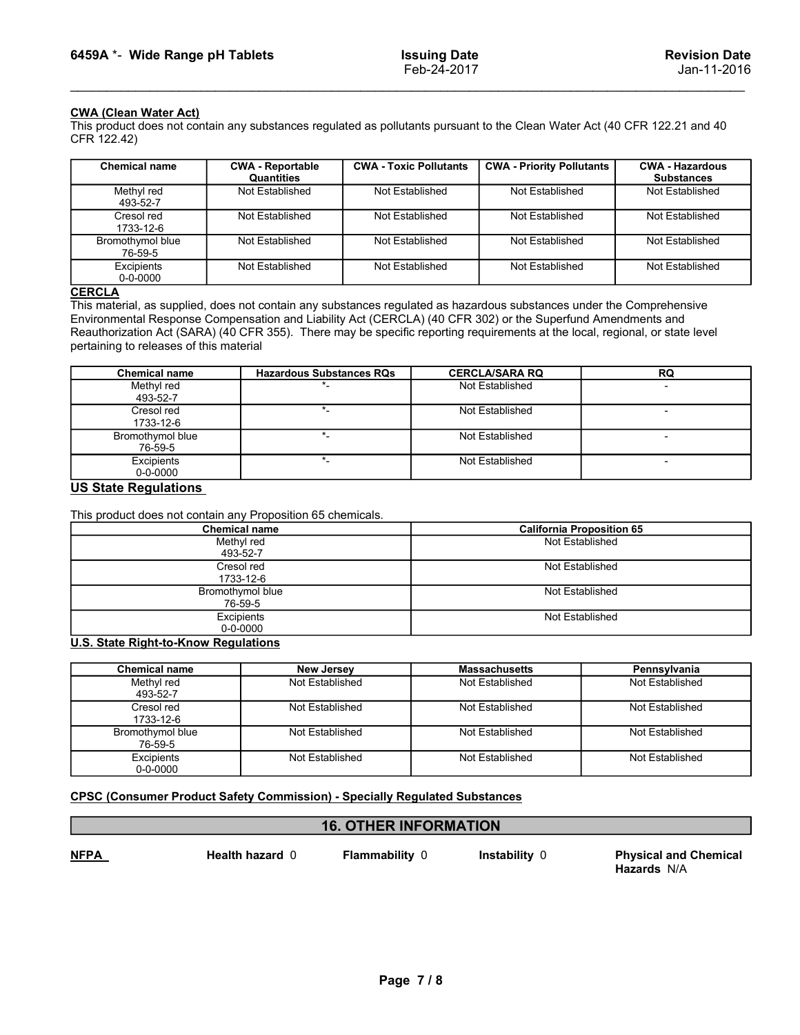6459A \*- Wide Range pH Tablets<br>
Feb-24-2017<br>
CWA (Clean Water Act)<br>
This product does not contain any substances regulated as pollutants pursuant to the Clean Water Act (40 CFR 122.21 and 40<br>
CER 122.421 CFR 122.42)

| 6459A *- Wide Range pH Tablets                                                                                                                                                                                                                                                                                                                                                                                                   |                                 |                               | <b>Issuing Date</b><br>Feb-24-2017       |                                                                                                                                                                | <b>Revision Date</b><br>Jan-11-2016 |
|----------------------------------------------------------------------------------------------------------------------------------------------------------------------------------------------------------------------------------------------------------------------------------------------------------------------------------------------------------------------------------------------------------------------------------|---------------------------------|-------------------------------|------------------------------------------|----------------------------------------------------------------------------------------------------------------------------------------------------------------|-------------------------------------|
| <b>CWA (Clean Water Act)</b><br>CFR 122.42)<br><b>Chemical name</b>                                                                                                                                                                                                                                                                                                                                                              | <b>CWA - Reportable</b>         | <b>CWA - Toxic Pollutants</b> |                                          | This product does not contain any substances regulated as pollutants pursuant to the Clean Water Act (40 CFR 122.21 and 40<br><b>CWA - Priority Pollutants</b> | <b>CWA - Hazardous</b>              |
|                                                                                                                                                                                                                                                                                                                                                                                                                                  | Quantities                      |                               |                                          |                                                                                                                                                                | <b>Substances</b>                   |
| Methyl red<br>493-52-7                                                                                                                                                                                                                                                                                                                                                                                                           | Not Established                 | Not Established               |                                          | Not Established                                                                                                                                                | Not Established                     |
| Cresol red<br>1733-12-6                                                                                                                                                                                                                                                                                                                                                                                                          | Not Established                 | Not Established               |                                          | Not Established                                                                                                                                                | Not Established                     |
| Bromothymol blue<br>76-59-5                                                                                                                                                                                                                                                                                                                                                                                                      | Not Established                 | Not Established               |                                          | Not Established                                                                                                                                                | Not Established                     |
| Excipients<br>$0 - 0 - 0000$                                                                                                                                                                                                                                                                                                                                                                                                     | Not Established                 | Not Established               |                                          | Not Established                                                                                                                                                | Not Established                     |
| <b>CERCLA</b><br>This material, as supplied, does not contain any substances regulated as hazardous substances under the Comprehensive<br>Environmental Response Compensation and Liability Act (CERCLA) (40 CFR 302) or the Superfund Amendments and<br>Reauthorization Act (SARA) (40 CFR 355). There may be specific reporting requirements at the local, regional, or state level<br>pertaining to releases of this material |                                 |                               |                                          |                                                                                                                                                                |                                     |
| <b>Chemical name</b><br>Methyl red                                                                                                                                                                                                                                                                                                                                                                                               | <b>Hazardous Substances RQs</b> |                               | <b>CERCLA/SARA RQ</b><br>Not Established |                                                                                                                                                                | RQ                                  |
| 493-52-7                                                                                                                                                                                                                                                                                                                                                                                                                         |                                 |                               |                                          |                                                                                                                                                                |                                     |
| Cresol red<br>1733-12-6                                                                                                                                                                                                                                                                                                                                                                                                          | $\star$                         |                               |                                          | Not Established                                                                                                                                                | $\overline{\phantom{a}}$            |
| Bromothymol blue<br>76-59-5                                                                                                                                                                                                                                                                                                                                                                                                      | $\star$                         |                               |                                          | Not Established                                                                                                                                                | $\overline{\phantom{a}}$            |
| Excipients<br>$0 - 0 - 0000$                                                                                                                                                                                                                                                                                                                                                                                                     | $\star$                         |                               |                                          | Not Established                                                                                                                                                | $\overline{\phantom{a}}$            |
| <b>US State Regulations</b>                                                                                                                                                                                                                                                                                                                                                                                                      |                                 |                               |                                          |                                                                                                                                                                |                                     |
| This product does not contain any Proposition 65 chemicals.                                                                                                                                                                                                                                                                                                                                                                      |                                 |                               |                                          |                                                                                                                                                                |                                     |
|                                                                                                                                                                                                                                                                                                                                                                                                                                  | <b>Chemical name</b>            |                               |                                          | <b>California Proposition 65</b><br>Not Established                                                                                                            |                                     |
|                                                                                                                                                                                                                                                                                                                                                                                                                                  | Methyl red<br>493-52-7          |                               |                                          |                                                                                                                                                                |                                     |

### **CERCLA**

|                                                                                                                                                                                                                                                                                                                                                                                                                                  | Quantities                                                                                               |                 |                 |                        |                                                                                           | <b>Substances</b>      |  |
|----------------------------------------------------------------------------------------------------------------------------------------------------------------------------------------------------------------------------------------------------------------------------------------------------------------------------------------------------------------------------------------------------------------------------------|----------------------------------------------------------------------------------------------------------|-----------------|-----------------|------------------------|-------------------------------------------------------------------------------------------|------------------------|--|
| Methyl red<br>493-52-7                                                                                                                                                                                                                                                                                                                                                                                                           | Not Established                                                                                          | Not Established |                 | Not Established        |                                                                                           | <b>Not Established</b> |  |
| Cresol red<br>1733-12-6                                                                                                                                                                                                                                                                                                                                                                                                          | Not Established                                                                                          | Not Established |                 | Not Established        |                                                                                           | Not Established        |  |
| Bromothymol blue<br>76-59-5                                                                                                                                                                                                                                                                                                                                                                                                      | Not Established                                                                                          | Not Established |                 | Not Established        |                                                                                           | Not Established        |  |
| Excipients<br>$0 - 0 - 0000$                                                                                                                                                                                                                                                                                                                                                                                                     | Not Established                                                                                          | Not Established | Not Established |                        |                                                                                           | Not Established        |  |
| <b>CERCLA</b><br>This material, as supplied, does not contain any substances regulated as hazardous substances under the Comprehensive<br>Environmental Response Compensation and Liability Act (CERCLA) (40 CFR 302) or the Superfund Amendments and<br>Reauthorization Act (SARA) (40 CFR 355). There may be specific reporting requirements at the local, regional, or state level<br>pertaining to releases of this material |                                                                                                          |                 |                 |                        |                                                                                           |                        |  |
| <b>Chemical name</b>                                                                                                                                                                                                                                                                                                                                                                                                             | <b>Hazardous Substances RQs</b>                                                                          |                 |                 | <b>CERCLA/SARA RQ</b>  | RQ                                                                                        |                        |  |
| Methyl red<br>493-52-7                                                                                                                                                                                                                                                                                                                                                                                                           |                                                                                                          |                 | Not Established |                        |                                                                                           |                        |  |
| $\overline{\phantom{a}^*}$<br>Cresol red<br>1733-12-6                                                                                                                                                                                                                                                                                                                                                                            |                                                                                                          |                 | Not Established |                        | $\overline{\phantom{a}}$                                                                  |                        |  |
| Bromothymol blue<br>$\star$<br>76-59-5                                                                                                                                                                                                                                                                                                                                                                                           |                                                                                                          | Not Established |                 |                        |                                                                                           |                        |  |
| $\star_-$<br>Excipients<br>$0 - 0 - 0000$                                                                                                                                                                                                                                                                                                                                                                                        |                                                                                                          | Not Established |                 |                        |                                                                                           |                        |  |
| <b>US State Regulations</b><br>This product does not contain any Proposition 65 chemicals.                                                                                                                                                                                                                                                                                                                                       | <b>Chemical name</b><br>Methyl red<br>493-52-7<br>Cresol red<br>1733-12-6<br>Bromothymol blue<br>76-59-5 |                 |                 |                        | <b>California Proposition 65</b><br>Not Established<br>Not Established<br>Not Established |                        |  |
|                                                                                                                                                                                                                                                                                                                                                                                                                                  | Excipients<br>$0 - 0 - 0000$                                                                             |                 | Not Established |                        |                                                                                           |                        |  |
| <b>U.S. State Right-to-Know Regulations</b>                                                                                                                                                                                                                                                                                                                                                                                      |                                                                                                          |                 |                 |                        |                                                                                           |                        |  |
| <b>Chemical name</b>                                                                                                                                                                                                                                                                                                                                                                                                             | <b>New Jersey</b>                                                                                        |                 |                 | <b>Massachusetts</b>   | Pennsylvania                                                                              |                        |  |
| Methyl red<br>493-52-7                                                                                                                                                                                                                                                                                                                                                                                                           | Not Established                                                                                          |                 |                 | Not Established        | Not Established                                                                           |                        |  |
| Cresol red<br>1733-12-6                                                                                                                                                                                                                                                                                                                                                                                                          | Not Established                                                                                          |                 |                 | Not Established        | Not Established                                                                           |                        |  |
| Bromothymol blue<br>76-59-5                                                                                                                                                                                                                                                                                                                                                                                                      | Not Established                                                                                          |                 |                 | Not Established        | Not Established                                                                           |                        |  |
| Excipients                                                                                                                                                                                                                                                                                                                                                                                                                       | <b>Not Established</b>                                                                                   |                 |                 | <b>Not Established</b> | Not Established                                                                           |                        |  |

| <b>Chemical name</b>                                        |                              | <b>Hazardous Substances RQs</b>                                                   | <b>CERCLA/SARA RQ</b>            | RQ                           |
|-------------------------------------------------------------|------------------------------|-----------------------------------------------------------------------------------|----------------------------------|------------------------------|
| Methyl red                                                  |                              |                                                                                   | Not Established                  |                              |
| 493-52-7                                                    |                              | $\star_-$                                                                         |                                  |                              |
| Cresol red<br>1733-12-6                                     |                              |                                                                                   | Not Established                  |                              |
| Bromothymol blue                                            |                              | $\star$                                                                           | Not Established                  | $\blacksquare$               |
| 76-59-5                                                     |                              |                                                                                   |                                  |                              |
| Excipients                                                  |                              | $\star_-$                                                                         | Not Established                  | $\overline{\phantom{a}}$     |
| $0 - 0 - 0000$                                              |                              |                                                                                   |                                  |                              |
| <b>US State Regulations</b>                                 |                              |                                                                                   |                                  |                              |
|                                                             |                              |                                                                                   |                                  |                              |
| This product does not contain any Proposition 65 chemicals. |                              |                                                                                   |                                  |                              |
| <b>Chemical name</b>                                        |                              |                                                                                   | <b>California Proposition 65</b> |                              |
|                                                             | Methyl red                   |                                                                                   |                                  | Not Established              |
|                                                             | 493-52-7                     |                                                                                   |                                  |                              |
|                                                             | Cresol red                   |                                                                                   |                                  | Not Established              |
|                                                             | 1733-12-6                    |                                                                                   |                                  |                              |
|                                                             | Bromothymol blue             |                                                                                   |                                  | Not Established              |
|                                                             | 76-59-5                      |                                                                                   |                                  |                              |
|                                                             | Excipients<br>$0 - 0 - 0000$ |                                                                                   | Not Established                  |                              |
|                                                             |                              |                                                                                   |                                  |                              |
| <b>U.S. State Right-to-Know Regulations</b>                 |                              |                                                                                   |                                  |                              |
| <b>Chemical name</b>                                        |                              | <b>New Jersey</b>                                                                 | <b>Massachusetts</b>             | Pennsylvania                 |
| Methyl red                                                  |                              | Not Established                                                                   | Not Established                  | Not Established              |
| 493-52-7                                                    |                              |                                                                                   |                                  |                              |
| Cresol red                                                  |                              | Not Established                                                                   | Not Established                  | Not Established              |
| 1733-12-6                                                   |                              |                                                                                   |                                  |                              |
| Bromothymol blue                                            |                              | Not Established                                                                   | Not Established                  | Not Established              |
| 76-59-5                                                     |                              |                                                                                   |                                  |                              |
| Excipients                                                  |                              | Not Established                                                                   | Not Established                  | Not Established              |
| $0 - 0 - 0000$                                              |                              |                                                                                   |                                  |                              |
|                                                             |                              |                                                                                   |                                  |                              |
|                                                             |                              | <b>CPSC (Consumer Product Safety Commission) - Specially Regulated Substances</b> |                                  |                              |
|                                                             |                              |                                                                                   |                                  |                              |
|                                                             |                              | <b>16. OTHER INFORMATION</b>                                                      |                                  |                              |
|                                                             |                              |                                                                                   |                                  |                              |
| <b>NFPA</b>                                                 | Health hazard 0              | Flammability 0                                                                    | Instability 0                    | <b>Physical and Chemical</b> |
|                                                             |                              |                                                                                   |                                  | Hazards N/A                  |
|                                                             |                              |                                                                                   |                                  |                              |
|                                                             |                              |                                                                                   |                                  |                              |
|                                                             |                              |                                                                                   |                                  |                              |
|                                                             |                              |                                                                                   |                                  |                              |
|                                                             |                              |                                                                                   |                                  |                              |

| <b>Chemical name</b>               |                                                                                   | <b>New Jersey</b>                              | <b>Massachusetts</b> | Pennsylvania                 |
|------------------------------------|-----------------------------------------------------------------------------------|------------------------------------------------|----------------------|------------------------------|
| Methyl red<br>493-52-7             |                                                                                   | Not Established                                | Not Established      | Not Established              |
| Cresol red<br>1733-12-6            |                                                                                   | Not Established                                | Not Established      | Not Established              |
| <b>Bromothymol blue</b><br>76-59-5 |                                                                                   | Not Established                                | Not Established      | Not Established              |
| Excipients<br>$0 - 0 - 0000$       |                                                                                   | Not Established                                | Not Established      | Not Established              |
|                                    | <b>CPSC (Consumer Product Safety Commission) - Specially Regulated Substances</b> |                                                |                      |                              |
| <u>NFPA</u>                        | Health hazard 0                                                                   | <b>16. OTHER INFORMATION</b><br>Flammability 0 | Instability 0        | <b>Physical and Chemical</b> |
|                                    |                                                                                   |                                                |                      | Hazards N/A                  |
|                                    |                                                                                   |                                                |                      |                              |
|                                    |                                                                                   |                                                |                      |                              |
|                                    |                                                                                   |                                                |                      |                              |
|                                    |                                                                                   | Page 7/8                                       |                      |                              |
|                                    |                                                                                   |                                                |                      |                              |

### 16. OTHER INFORMATION